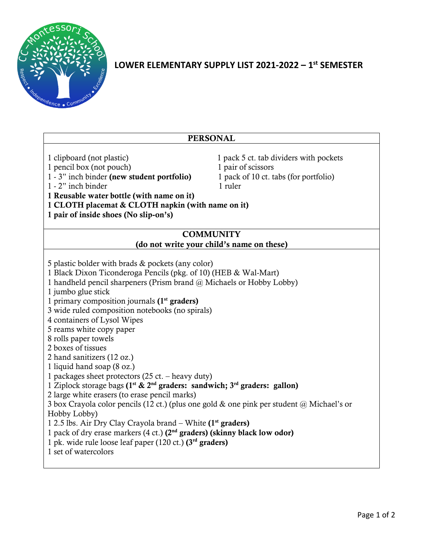

# **LOWER ELEMENTARY SUPPLY LIST 2021-2022 – 1 st SEMESTER**

| <b>PERSONAL</b>                                                                                                                                                                                                                                                                                                                                                                                                                                                                                                                                                                                                                                                                                                                                                                                                                                                                                                                                                                                                                                                     |  |
|---------------------------------------------------------------------------------------------------------------------------------------------------------------------------------------------------------------------------------------------------------------------------------------------------------------------------------------------------------------------------------------------------------------------------------------------------------------------------------------------------------------------------------------------------------------------------------------------------------------------------------------------------------------------------------------------------------------------------------------------------------------------------------------------------------------------------------------------------------------------------------------------------------------------------------------------------------------------------------------------------------------------------------------------------------------------|--|
| 1 clipboard (not plastic)<br>1 pack 5 ct. tab dividers with pockets<br>1 pencil box (not pouch)<br>1 pair of scissors<br>1 - 3" inch binder (new student portfolio)<br>1 pack of 10 ct. tabs (for portfolio)<br>1 - 2" inch binder<br>1 ruler<br>1 Reusable water bottle (with name on it)<br>1 CLOTH placemat & CLOTH napkin (with name on it)<br>1 pair of inside shoes (No slip-on's)<br><b>COMMUNITY</b>                                                                                                                                                                                                                                                                                                                                                                                                                                                                                                                                                                                                                                                        |  |
| (do not write your child's name on these)                                                                                                                                                                                                                                                                                                                                                                                                                                                                                                                                                                                                                                                                                                                                                                                                                                                                                                                                                                                                                           |  |
| 5 plastic bolder with brads & pockets (any color)<br>1 Black Dixon Ticonderoga Pencils (pkg. of 10) (HEB & Wal-Mart)<br>1 handheld pencil sharpeners (Prism brand @ Michaels or Hobby Lobby)<br>1 jumbo glue stick<br>1 primary composition journals $(1st graders)$<br>3 wide ruled composition notebooks (no spirals)<br>4 containers of Lysol Wipes<br>5 reams white copy paper<br>8 rolls paper towels<br>2 boxes of tissues<br>2 hand sanitizers (12 oz.)<br>1 liquid hand soap (8 oz.)<br>1 packages sheet protectors (25 ct. - heavy duty)<br>1 Ziplock storage bags ( $1st$ & $2nd$ graders: sandwich; $3rd$ graders: gallon)<br>2 large white erasers (to erase pencil marks)<br>3 box Crayola color pencils (12 ct.) (plus one gold $\&$ one pink per student $\ω$ Michael's or<br>Hobby Lobby)<br>1 2.5 lbs. Air Dry Clay Crayola brand - White (1 <sup>st</sup> graders)<br>1 pack of dry erase markers (4 ct.) (2 <sup>nd</sup> graders) (skinny black low odor)<br>1 pk. wide rule loose leaf paper (120 ct.) $(3rd$ graders)<br>1 set of watercolors |  |